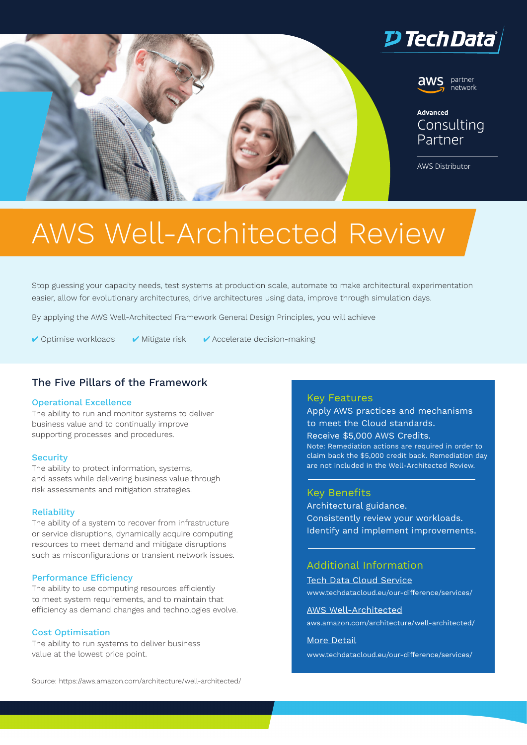



## Advanced Consulting

partner .<br>network

**AWS Distributor** 

# AWS Well-Architected Review

Stop guessing your capacity needs, test systems at production scale, automate to make architectural experimentation easier, allow for evolutionary architectures, drive architectures using data, improve through simulation days.

By applying the AWS Well-Architected Framework General Design Principles, you will achieve

 $\vee$  Optimise workloads  $\vee$  Mitigate risk  $\vee$  Accelerate decision-making

## The Five Pillars of the Framework

#### Operational Excellence

The ability to run and monitor systems to deliver business value and to continually improve supporting processes and procedures.

#### **Security**

The ability to protect information, systems, and assets while delivering business value through risk assessments and mitigation strategies.

#### **Reliability**

The ability of a system to recover from infrastructure or service disruptions, dynamically acquire computing resources to meet demand and mitigate disruptions such as misconfigurations or transient network issues.

#### Performance Efficiency

The ability to use computing resources efficiently to meet system requirements, and to maintain that efficiency as demand changes and technologies evolve.

#### Cost Optimisation

The ability to run systems to deliver business value at the lowest price point.

#### Source: https://aws.amazon.com/architecture/well-architected/

#### Key Features

Apply AWS practices and mechanisms to meet the Cloud standards. Receive \$5,000 AWS Credits. Note: Remediation actions are required in order to claim back the \$5,000 credit back. Remediation day are not included in the Well-Architected Review.

#### Key Benefits

Architectural guidance. Consistently review your workloads. Identify and implement improvements.

## Additional Information

[Tech Data Cloud Service](https://www.techdatacloud.eu/our-difference/services/) [www.techdatacloud.eu/our-difference/services/](https://www.techdatacloud.eu/our-difference/services/)

[AWS Well-Architected](https://aws.amazon.com/architecture/well-architected/)

[aws.amazon.com/architecture/well-architected/](http://aws.amazon.com/architecture/well-architected/)

#### [More Detail](https://www.techdatacloud.eu/our-difference/services/)

[www.techdatacloud.eu/our-difference/services/](http://www.techdatacloud.eu/our-difference/services/)